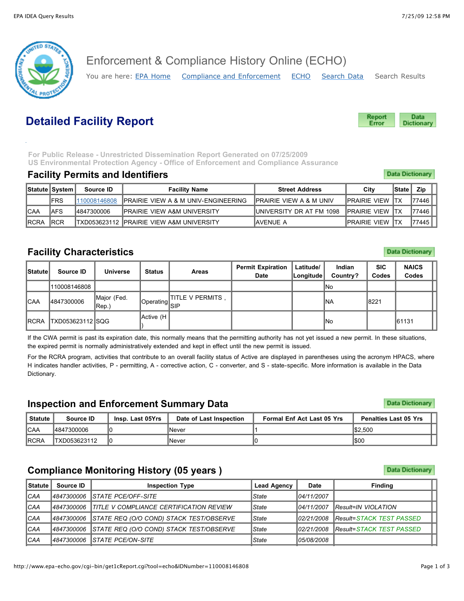

Enforcement & Compliance History Online (ECHO)

You are here: [EPA Home](http://www.epa.gov/) [Compliance and Enforcement](http://www.epa.gov/compliance) [ECHO](http://www.epa-echo.gov/echo/index.html) [Search Data](javascript:history.go(-1)) Search Results

# **Detailed Facility Report**

Data Report Error **Dictionary** 

**Data Dictionary** 

**Data Dictionary** 

**Data Dictionary** 

**Data Dictionary** 

 **For Public Release - Unrestricted Dissemination Report Generated on 07/25/2009 US Environmental Protection Agency - Office of Enforcement and Compliance Assurance**

#### **Facility Permits and Identifiers**

|              | <b>Statute System</b> | Source ID    | Facility Name                                   | <b>Street Address</b>               | City                     | <b>State</b> | Zip     |  |
|--------------|-----------------------|--------------|-------------------------------------------------|-------------------------------------|--------------------------|--------------|---------|--|
|              | <b>IFRS</b>           | 110008146808 | <b>IPRAIRIE VIEW A &amp; M UNIV-ENGINEERING</b> | <b>IPRAIRIE VIEW A &amp; M UNIV</b> | <b>IPRAIRIE VIEW ITX</b> |              | 177446. |  |
| <b>ICAA</b>  | AFS                   | 14847300006  | <b>IPRAIRIE VIEW A&amp;M UNIVERSITY</b>         | IUNIVERSITY DR AT FM 1098           | <b>IPRAIRIE VIEW ITX</b> |              | 177446  |  |
| <b>IRCRA</b> | <b>IRCR</b>           |              | ITXD053623112 IPRAIRIE VIEW A&M UNIVERSITY      | IAVENUE A                           | <b>IPRAIRIE VIEW ITX</b> |              | 177445  |  |

# **Facility Characteristics**

| <b>Statute</b> | Source ID        | <b>Universe</b>      | <b>Status</b>                                  | Areas             | <b>Permit Expiration</b><br><b>Date</b> | Latitude/<br>Longitude | Indian<br>Country? | <b>SIC</b><br>Codes | <b>NAICS</b><br>Codes |
|----------------|------------------|----------------------|------------------------------------------------|-------------------|-----------------------------------------|------------------------|--------------------|---------------------|-----------------------|
|                | 1110008146808    |                      |                                                |                   |                                         |                        | lNo                |                     |                       |
| <b>ICAA</b>    | 4847300006       | Major (Fed.<br>Rep.) | $\left \mathsf{Operating}\right _\mathsf{SIP}$ | TITLE V PERMITS , |                                         |                        | INA                | 18221               |                       |
| <b>IRCRA</b>   | TXD053623112 SQG |                      | Active (H                                      |                   |                                         |                        | lNo                |                     | 61131                 |

If the CWA permit is past its expiration date, this normally means that the permitting authority has not yet issued a new permit. In these situations, the expired permit is normally administratively extended and kept in effect until the new permit is issued.

For the RCRA program, activities that contribute to an overall facility status of Active are displayed in parentheses using the acronym HPACS, where H indicates handler activities, P - permitting, A - corrective action, C - converter, and S - state-specific. More information is available in the Data Dictionary.

### **Inspection and Enforcement Summary Data**

| Statute      | Source ID    | Insp. Last 05Yrs | Date of Last Inspection | <b>Formal Enf Act Last 05 Yrs</b> | <b>Penalties Last 05 Yrs</b> |
|--------------|--------------|------------------|-------------------------|-----------------------------------|------------------------------|
| <b>ICAA</b>  | 14847300006  |                  | INever                  |                                   | \$2,500                      |
| <b>IRCRA</b> | TXD053623112 |                  | INever                  |                                   | 1\$00                        |

# **Compliance Monitoring History (05 years )**

| <b>Statute</b> | Source ID   | <b>Inspection Type</b>                              | Lead Agency  | <b>Date</b> | <b>Finding</b>                  |  |
|----------------|-------------|-----------------------------------------------------|--------------|-------------|---------------------------------|--|
| ICAA           |             | 14847300006 STATE PCE/OFF-SITE                      | State        | 104/11/2007 |                                 |  |
| ICAA           |             | 14847300006 TITLE V COMPLIANCE CERTIFICATION REVIEW | <b>State</b> | 104/11/2007 | <b>IResult=IN VIOLATION</b>     |  |
| <b>ICAA</b>    | 4847300006  | STATE REQ (O/O COND) STACK TEST/OBSERVE             | <b>State</b> | 102/21/2008 | <b>Result=STACK TEST PASSED</b> |  |
| ICAA           | 4847300006  | <b>STATE REQ (O/O COND) STACK TEST/OBSERVE</b>      | <b>State</b> | 102/21/2008 | <b>Result=STACK TEST PASSED</b> |  |
| ICAA           | 14847300006 | <i><b>ISTATE PCE/ON-SITE</b></i>                    | <b>State</b> | 105/08/2008 |                                 |  |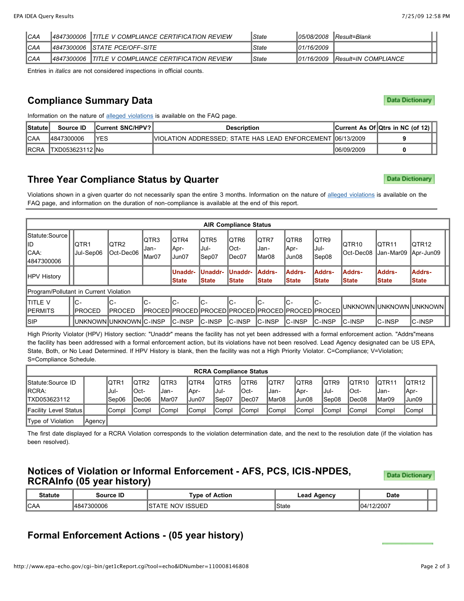| <b>CAA</b> | 14847300006 | <b>ITITLE V COMPLIANCE CERTIFICATION REVIEW</b> | State | 105/08/2008 | Result=Blank         |
|------------|-------------|-------------------------------------------------|-------|-------------|----------------------|
| <b>CAA</b> |             | 14847300006 ISTATE PCE/OFF-SITE                 | State | 101/16/2009 |                      |
| <b>CAA</b> | 14847300006 | <b>ITITLE V COMPLIANCE CERTIFICATION REVIEW</b> | State | 101/16/2009 | Result=IN COMPLIANCE |

Entries in *italics* are not considered inspections in official counts.

### **Compliance Summary Data**

Information on the nature of [alleged violations](http://www.epa-echo.gov/echo/faq.html#in_violation) is available on the FAQ page.

| <b>Statute</b> | Source ID                | <b>Current SNC/HPV?</b> | <b>Description</b>                                         |             | Current As Of $Q$ trs in NC (of 12) |
|----------------|--------------------------|-------------------------|------------------------------------------------------------|-------------|-------------------------------------|
| ICAA           | 14847300006              | YES                     | VIOLATION ADDRESSED; STATE HAS LEAD ENFORCEMENT 06/13/2009 |             |                                     |
| <b>IRCRA</b>   | <b>ITXD053623112 INo</b> |                         |                                                            | 106/09/2009 |                                     |

### **Three Year Compliance Status by Quarter**

Violations shown in a given quarter do not necessarily span the entire 3 months. Information on the nature of [alleged violations](http://www.epa-echo.gov/echo/faq.html#in_violation) is available on the FAQ page, and information on the duration of non-compliance is available at the end of this report.

|                                                | <b>AIR Compliance Status</b> |                         |                        |                         |                                 |                                |                               |                                                                |                         |                                         |                               |                                  |  |  |  |
|------------------------------------------------|------------------------------|-------------------------|------------------------|-------------------------|---------------------------------|--------------------------------|-------------------------------|----------------------------------------------------------------|-------------------------|-----------------------------------------|-------------------------------|----------------------------------|--|--|--|
| Statute:Source  <br>lid<br>ICAA:<br>4847300006 | IQTR1<br>Uul-Sep06           | IQTR2<br>Oct-Dec06      | IQTR3<br>Jan-<br>Mar07 | IQTR4<br>Apr-<br>Jun07  | IQTR5<br>lJul-<br>Sep07         | IQTR6<br>IOct-<br>IDec07       | IQTR7<br>IJan-<br>IMar08      | IQTR8<br>∥Apr-<br>Jun08                                        | IQTR9<br>lJul-<br>Sep08 | IQTR <sub>10</sub><br><b>IOct-Dec08</b> | IQTR11<br>Jan-Mar09           | IQTR12<br>Apr-Jun09              |  |  |  |
| HPV History                                    |                              |                         |                        | Unaddr-<br><b>State</b> | <b>IUnaddr-</b><br><b>State</b> | <b>Unaddr-</b><br><b>State</b> | <b>Addrs-</b><br><b>State</b> | <b>Addrs-</b><br><b>State</b>                                  | lAddrs-<br><b>State</b> | <b>Addrs-</b><br><b>State</b>           | <b>Addrs-</b><br><b>State</b> | <b>Addrs-</b><br><b>State</b>    |  |  |  |
| Program/Pollutant in Current Violation         |                              |                         |                        |                         |                                 |                                |                               |                                                                |                         |                                         |                               |                                  |  |  |  |
| Ititle v<br><b>IPERMITS</b>                    | IC-<br>IPROCED               | IC-<br>IPROCED          | $C -$                  | lc-                     | IC-                             | lc-                            | IC-                           | IC-<br> PROCED  PROCED  PROCED  PROCED  PROCED  PROCED  PROCED | IC-                     |                                         |                               | <b>IUNKNOWNIUNKNOWNIUNKNOWNI</b> |  |  |  |
| <b>ISIP</b>                                    |                              | UNKNOWN UNKNOWN IC-INSP |                        | IC-INSP                 | <b>IC-INSP</b>                  | <b>IC-INSP</b>                 | <b>IC-INSP</b>                | <b>IC-INSP</b>                                                 | <b>IC-INSP</b>          | <b>IC-INSP</b>                          | IC-INSP                       | C-INSP                           |  |  |  |

High Priority Violator (HPV) History section: "Unaddr" means the facility has not yet been addressed with a formal enforcement action. "Addrs"means the facility has been addressed with a formal enforcement action, but its violations have not been resolved. Lead Agency designated can be US EPA, State, Both, or No Lead Determined. If HPV History is blank, then the facility was not a High Priority Violator. C=Compliance; V=Violation; S=Compliance Schedule.

|                              | <b>RCRA Compliance Status</b> |        |              |                  |                    |              |       |              |       |                    |                    |        |                    |
|------------------------------|-------------------------------|--------|--------------|------------------|--------------------|--------------|-------|--------------|-------|--------------------|--------------------|--------|--------------------|
| Statute: Source ID           |                               | IQTR1  | IQTR2        | QTR <sub>3</sub> | IQTR4              | IQTR5        | IQTR6 | <b>IQTR7</b> | IQTR8 | IQTR9              | IQTR <sub>10</sub> | IQTR11 | IQTR <sub>12</sub> |
| <b>IRCRA:</b>                |                               | lJul-  | IOct-        | Jan-             | Apr-               | -Jul-        | lOct- | IJan-        | Apr-  | IJul-              | $I$ Oct-           | ,Jan-  | Apr-               |
| ITXD053623112                |                               | Sep06  | IDec06       | Mar07            | Jun07،             | Sep07        | Dec07 | IMar08       | Jun08 | Sep08              | IDec08             | IMar09 | Jun09              |
| <b>Facility Level Status</b> |                               | lCompl | <b>Compl</b> | <b>Compl</b>     | <sup>1</sup> Compl | <b>Compl</b> | Compl | <b>Compl</b> | Compl | <sup>1</sup> Compl | <b>Compl</b>       | Compl  | <b>Compl</b>       |
| Type of Violation            | Agency                        |        |              |                  |                    |              |       |              |       |                    |                    |        |                    |

The first date displayed for a RCRA Violation corresponds to the violation determination date, and the next to the resolution date (if the violation has been resolved).

#### **Notices of Violation or Informal Enforcement - AFS, PCS, ICIS-NPDES, RCRAInfo (05 year history)**

**Data Dictionary** 

| <b>Statute</b> | Source ID   | Tvpe of Action            | ∟ead<br>Agency | <b>Date</b> |  |
|----------------|-------------|---------------------------|----------------|-------------|--|
| ICAA           | 14847300006 | ' ISSUED<br>NOV 1<br>TATE | State          | 104/12/2007 |  |

# **Formal Enforcement Actions - (05 year history)**

**Data Dictionary** 

**Data Dictionary**